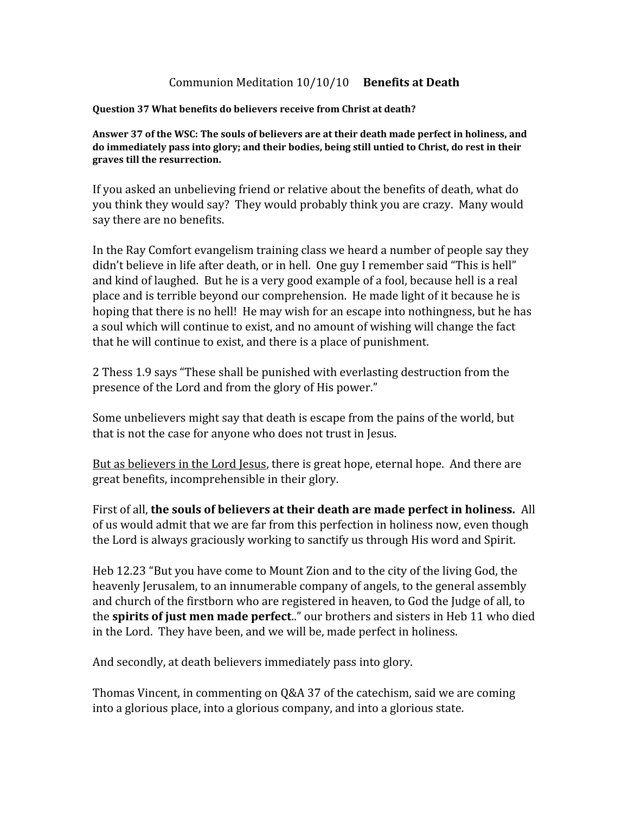## Communion Meditation 10/10/10 **Benefits at Death**

## **Question 37 What benefits do believers receive from Christ at death?**

**Answer 37 of the WSC: The souls of believers are at their death made perfect in holiness, and do immediately pass into glory; and their bodies, being still untied to Christ, do rest in their graves till the resurrection.**

If you asked an unbelieving friend or relative about the benefits of death, what do you think they would say? They would probably think you are crazy. Many would say there are no benefits.

In the Ray Comfort evangelism training class we heard a number of people say they didn't believe in life after death, or in hell. One guy I remember said "This is hell" and kind of laughed. But he is a very good example of a fool, because hell is a real place and is terrible beyond our comprehension. He made light of it because he is hoping that there is no hell! He may wish for an escape into nothingness, but he has a soul which will continue to exist, and no amount of wishing will change the fact that he will continue to exist, and there is a place of punishment.

2 Thess 1.9 says "These shall be punished with everlasting destruction from the presence of the Lord and from the glory of His power."

Some unbelievers might say that death is escape from the pains of the world, but that is not the case for anyone who does not trust in Jesus.

But as believers in the Lord Jesus, there is great hope, eternal hope. And there are great benefits, incomprehensible in their glory.

First of all, **the souls of believers at their death are made perfect in holiness.** All of us would admit that we are far from this perfection in holiness now, even though the Lord is always graciously working to sanctify us through His word and Spirit.

Heb 12.23 "But you have come to Mount Zion and to the city of the living God, the heavenly Jerusalem, to an innumerable company of angels, to the general assembly and church of the firstborn who are registered in heaven, to God the Judge of all, to the **spirits of just men made perfect**.." our brothers and sisters in Heb 11 who died in the Lord. They have been, and we will be, made perfect in holiness.

And secondly, at death believers immediately pass into glory.

Thomas Vincent, in commenting on Q&A 37 of the catechism, said we are coming into a glorious place, into a glorious company, and into a glorious state.